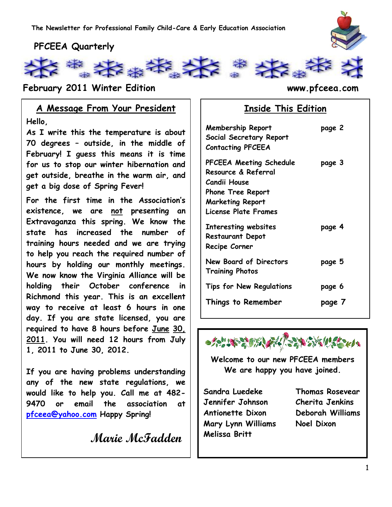

## **PFCEEA Quarterly**



**February 2011 Winter Edition www.pfceea.com**

## **A Message From Your President**

**Hello,**

**As I write this the temperature is about 70 degrees – outside, in the middle of February! I guess this means it is time for us to stop our winter hibernation and get outside, breathe in the warm air, and get a big dose of Spring Fever!** 

**For the first time in the Association's existence, we are not presenting an Extravaganza this spring. We know the state has increased the number of training hours needed and we are trying to help you reach the required number of hours by holding our monthly meetings. We now know the Virginia Alliance will be holding their October conference in Richmond this year. This is an excellent way to receive at least 6 hours in one day. If you are state licensed, you are required to have 8 hours before June 30, 2011. You will need 12 hours from July 1, 2011 to June 30, 2012.**

**If you are having problems understanding any of the new state regulations, we would like to help you. Call me at 482- 9470 or email the association at [pfceea@yahoo.com](mailto:pfceea@yahoo.com) Happy Spring!**

 **Marie McFadden**

## **Inside This Edition**

| <b>Membership Report</b><br>Social Secretary Report<br><b>Contacting PFCEEA</b>                                                                                    | page 2 |
|--------------------------------------------------------------------------------------------------------------------------------------------------------------------|--------|
| <b>PFCEEA Meeting Schedule</b><br>Resource & Referral<br><b>Candii House</b><br><b>Phone Tree Report</b><br><b>Marketing Report</b><br><b>License Plate Frames</b> | page 3 |
| Interesting websites<br><b>Restaurant Depot</b><br>Recipe Corner                                                                                                   | page 4 |
| New Board of Directors<br><b>Training Photos</b>                                                                                                                   | page 5 |
| <b>Tips for New Regulations</b>                                                                                                                                    | page 6 |
| Things to Remember                                                                                                                                                 | page 7 |



**Welcome to our new PFCEEA members We are happy you have joined.**

**Sandra Luedeke Thomas Rosevear Jennifer Johnson Cherita Jenkins Antionette Dixon Deborah Williams Mary Lynn Williams Noel Dixon Melissa Britt**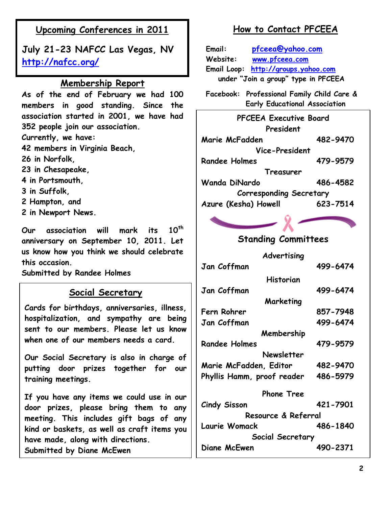## **Upcoming Conferences in 2011**

**July 21-23 NAFCC Las Vegas, NV <http://nafcc.org/>**

#### **Membership Report**

**As of the end of February we had 100 members in good standing. Since the association started in 2001, we have had 352 people join our association. Currently, we have: 42 members in Virginia Beach, 26 in Norfolk, 23 in Chesapeake, 4 in Portsmouth, 3 in Suffolk, 2 Hampton, and 2 in Newport News.**

**Our association will mark its 10th anniversary on September 10, 2011. Let us know how you think we should celebrate this occasion.** 

**Submitted by Randee Holmes**

### **Social Secretary**

**Cards for birthdays, anniversaries, illness, hospitalization, and sympathy are being sent to our members. Please let us know when one of our members needs a card.**

**Our Social Secretary is also in charge of putting door prizes together for our training meetings.** 

**If you have any items we could use in our door prizes, please bring them to any meeting. This includes gift bags of any kind or baskets, as well as craft items you have made, along with directions. Submitted by Diane McEwen**

## **How to Contact PFCEEA**

**Email: [pfceea@yahoo.com](mailto:pfceea@yahoo.com) Website: [www.pfceea.com](http://www.pfceea.com/) Email Loop: [http://groups.yahoo.com](http://groups.yahoo.com/) under "Join a group" type in PFCEEA**

**Facebook: Professional Family Child Care & Early Educational Association**

**PFCEEA Executive Board President Marie McFadden 482-9470 Vice-President Randee Holmes 479-9579 Treasurer Wanda DiNardo 486-4582 Corresponding Secretary Azure (Kesha) Howell 623-7514**

## **Standing Committees**

**Advertising Jan Coffman 499-6474**

**Historian Jan Coffman 499-6474 Marketing Fern Rohrer 857-7948 Jan Coffman 499-6474 Membership Randee Holmes 479-9579 Newsletter Marie McFadden, Editor 482-9470 Phyllis Hamm, proof reader 486-5979 Phone Tree Cindy Sisson 421-7901 Resource & Referral**

**Laurie Womack 486-1840 Social Secretary Diane McEwen 490-2371**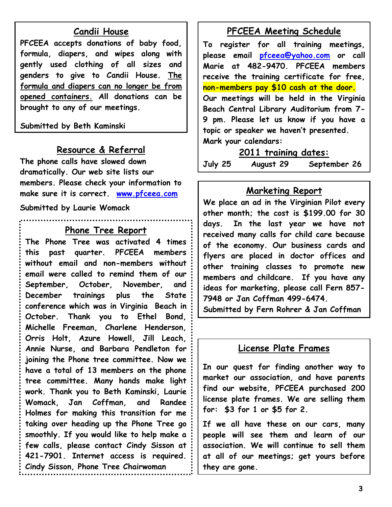#### **Candii House**

**PFCEEA accepts donations of baby food, formula, diapers, and wipes along with gently used clothing of all sizes and genders to give to Candii House. The formula and diapers can no longer be from opened containers. All donations can be brought to any of our meetings.**

**Submitted by Beth Kaminski**

#### **Resource & Referral**

**The phone calls have slowed down dramatically. Our web site lists our members. Please check your information to make sure it is correct. [www.pfceea.com](http://www.pfceea.com/)**

**Submitted by Laurie Womack**

#### **Phone Tree Report**

**The Phone Tree was activated 4 times this past quarter. PFCEEA members without email and non-members without email were called to remind them of our September, October, November, and December trainings plus the State conference which was in Virginia Beach in October. Thank you to Ethel Bond, Michelle Freeman, Charlene Henderson, Orris Holt, Azure Howell, Jill Leach, Annie Nurse, and Barbara Pendleton for joining the Phone tree committee. Now we have a total of 13 members on the phone tree committee. Many hands make light work. Thank you to Beth Kaminski, Laurie Womack, Jan Coffman, and Randee Holmes for making this transition for me taking over heading up the Phone Tree go smoothly. If you would like to help make a few calls, please contact Cindy Sisson at 421-7901. Internet access is required. Cindy Sisson, Phone Tree Chairwoman**

#### **PFCEEA Meeting Schedule**

**To register for all training meetings, please email [pfceea@yahoo.com](mailto:pfceea@yahoo.com) or call Marie at 482-9470. PFCEEA members receive the training certificate for free, non-members pay \$10 cash at the door. Our meetings will be held in the Virginia Beach Central Library Auditorium from 7- 9 pm. Please let us know if you have a topic or speaker we haven't presented. Mark your calendars:**

**2011 training dates:**

**July 25 August 29 September 26**

#### **Marketing Report**

**We place an ad in the Virginian Pilot every other month; the cost is \$199.00 for 30 days. In the last year we have not received many calls for child care because of the economy. Our business cards and flyers are placed in doctor offices and other training classes to promote new members and childcare. If you have any ideas for marketing, please call Fern 857- 7948 or Jan Coffman 499-6474.**

**Submitted by Fern Rohrer & Jan Coffman**

#### **License Plate Frames**

**In our quest for finding another way to market our association, and have parents find our website, PFCEEA purchased 200 license plate frames. We are selling them for: \$3 for 1 or \$5 for 2.**

**If we all have these on our cars, many people will see them and learn of our association. We will continue to sell them at all of our meetings; get yours before they are gone.**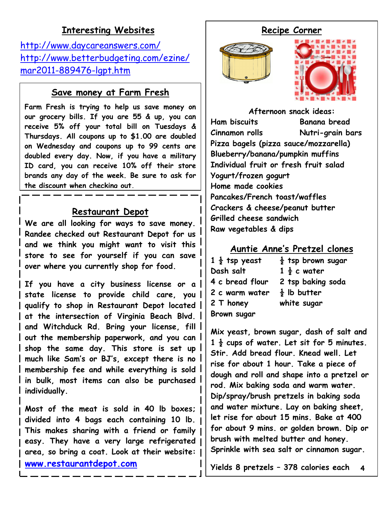## **Interesting Websites**

<http://www.daycareanswers.com/> [http://www.betterbudgeting.com/ezine/](http://www.betterbudgeting.com/ezine/mar2011-889476-lgpt.htm) [mar2011-889476-lgpt.htm](http://www.betterbudgeting.com/ezine/mar2011-889476-lgpt.htm)

### **Save money at Farm Fresh**

**Farm Fresh is trying to help us save money on our grocery bills. If you are 55 & up, you can receive 5% off your total bill on Tuesdays & Thursdays. All coupons up to \$1.00 are doubled on Wednesday and coupons up to 99 cents are doubled every day. Now, if you have a military ID card, you can receive 10% off their store brands any day of the week. Be sure to ask for the discount when checking out.**

#### **Restaurant Depot**

 $\overline{a}$ 

l<br>I

**We are all looking for ways to save money. Randee checked out Restaurant Depot for us and we think you might want to visit this store to see for yourself if you can save over where you currently shop for food.** 

**If you have a city business license or a state license to provide child care, you qualify to shop in Restaurant Depot located at the intersection of Virginia Beach Blvd. and Witchduck Rd. Bring your license, fill out the membership paperwork, and you can shop the same day. This store is set up much like Sam's or BJ's, except there is no membership fee and while everything is sold in bulk, most items can also be purchased individually.** 

**Most of the meat is sold in 40 lb boxes; divided into 4 bags each containing 10 lb. This makes sharing with a friend or family easy. They have a very large refrigerated area, so bring a coat. Look at their website: [www.restaurantdepot.com](http://www.restaurantdepot.com/)**

## **Recipe Corner**





**Afternoon snack ideas: Ham biscuits Banana bread Cinnamon rolls Nutri-grain bars Pizza bagels (pizza sauce/mozzarella) Blueberry/banana/pumpkin muffins Individual fruit or fresh fruit salad Yogurt/frozen gogurt Home made cookies Pancakes/French toast/waffles Crackers & cheese/peanut butter Grilled cheese sandwich Raw vegetables & dips**

### **Auntie Anne's Pretzel clones**

| $1\frac{1}{2}$ tsp yeast | $\frac{1}{2}$ tsp brown sugar |
|--------------------------|-------------------------------|
| Dash salt                | $1\frac{1}{2}$ c water        |
| 4 c bread flour          | 2 tsp baking soda             |
| 2 c warm water           | $\frac{1}{2}$ lb butter       |
| 2 T honey                | white sugar                   |
| Brown sugar              |                               |

**Mix yeast, brown sugar, dash of salt and 1 ½ cups of water. Let sit for 5 minutes. Stir. Add bread flour. Knead well. Let rise for about 1 hour. Take a piece of dough and roll and shape into a pretzel or rod. Mix baking soda and warm water. Dip/spray/brush pretzels in baking soda and water mixture. Lay on baking sheet, let rise for about 15 mins. Bake at 400 for about 9 mins. or golden brown. Dip or brush with melted butter and honey. Sprinkle with sea salt or cinnamon sugar.**

4 **4Yields 8 pretzels – 378 calories each**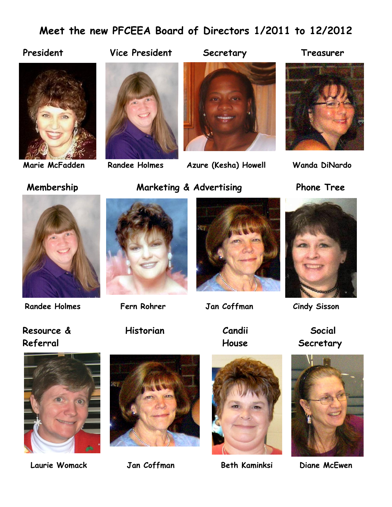# **Meet the new PFCEEA Board of Directors 1/2011 to 12/2012**

#### President Vice President Secretary Treasurer







**Marie McFadden Randee Holmes Azure (Kesha) Howell Wanda DiNardo**





## **Membership Marketing & Advertising Phone Tree**







 **Randee Holmes Fern Rohrer Jan Coffman Cindy Sisson**









Referral **Referral** Referral Secretary









 **Laurie Womack Jan Coffman Beth Kaminksi Diane McEwen**

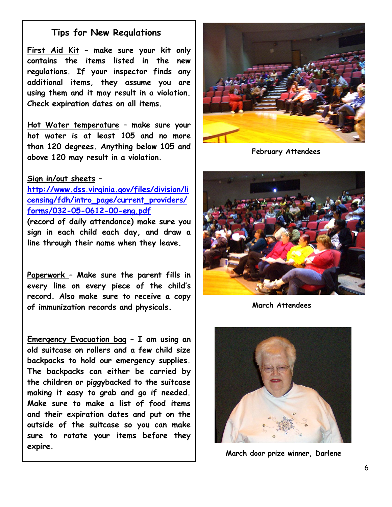### **Tips for New Regulations**

**First Aid Kit – make sure your kit only contains the items listed in the new regulations. If your inspector finds any additional items, they assume you are using them and it may result in a violation. Check expiration dates on all items.**

**Hot Water temperature – make sure your hot water is at least 105 and no more than 120 degrees. Anything below 105 and above 120 may result in a violation.**

#### **Sign in/out sheets –**

**[http://www.dss.virginia.gov/files/division/li](http://www.dss.virginia.gov/files/division/licensing/fdh/intro_page/current_providers/forms/032-05-0612-00-eng.pdf) [censing/fdh/intro\\_page/current\\_providers/](http://www.dss.virginia.gov/files/division/licensing/fdh/intro_page/current_providers/forms/032-05-0612-00-eng.pdf) [forms/032-05-0612-00-eng.pdf](http://www.dss.virginia.gov/files/division/licensing/fdh/intro_page/current_providers/forms/032-05-0612-00-eng.pdf)**

**(record of daily attendance) make sure you sign in each child each day, and draw a line through their name when they leave.** 

**Paperwork – Make sure the parent fills in every line on every piece of the child's record. Also make sure to receive a copy of immunization records and physicals.**

**Emergency Evacuation bag – I am using an old suitcase on rollers and a few child size backpacks to hold our emergency supplies. The backpacks can either be carried by the children or piggybacked to the suitcase making it easy to grab and go if needed. Make sure to make a list of food items and their expiration dates and put on the outside of the suitcase so you can make sure to rotate your items before they expire.**



**February Attendees**



**March Attendees**



**March door prize winner, Darlene**